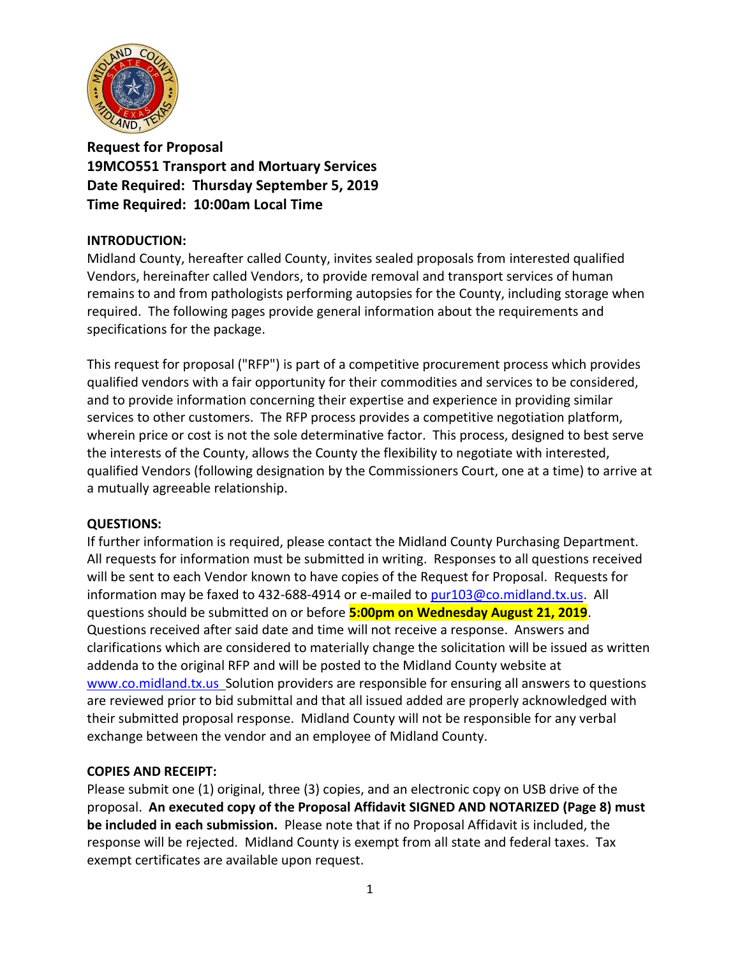

**Request for Proposal 19MCO551 Transport and Mortuary Services Date Required: Thursday September 5, 2019 Time Required: 10:00am Local Time**

## **INTRODUCTION:**

Midland County, hereafter called County, invites sealed proposals from interested qualified Vendors, hereinafter called Vendors, to provide removal and transport services of human remains to and from pathologists performing autopsies for the County, including storage when required. The following pages provide general information about the requirements and specifications for the package.

This request for proposal ("RFP") is part of a competitive procurement process which provides qualified vendors with a fair opportunity for their commodities and services to be considered, and to provide information concerning their expertise and experience in providing similar services to other customers. The RFP process provides a competitive negotiation platform, wherein price or cost is not the sole determinative factor. This process, designed to best serve the interests of the County, allows the County the flexibility to negotiate with interested, qualified Vendors (following designation by the Commissioners Court, one at a time) to arrive at a mutually agreeable relationship.

#### **QUESTIONS:**

If further information is required, please contact the Midland County Purchasing Department. All requests for information must be submitted in writing. Responses to all questions received will be sent to each Vendor known to have copies of the Request for Proposal. Requests for information may be faxed to 432-688-4914 or e-mailed to [pur103@co.midland.tx.us.](mailto:pur103@co.midland.tx.us) All questions should be submitted on or before **5:00pm on Wednesday August 21, 2019**. Questions received after said date and time will not receive a response. Answers and clarifications which are considered to materially change the solicitation will be issued as written addenda to the original RFP and will be posted to the Midland County website at [www.co.midland.tx.us](http://www.co.midland.tx.us/) Solution providers are responsible for ensuring all answers to questions are reviewed prior to bid submittal and that all issued added are properly acknowledged with their submitted proposal response. Midland County will not be responsible for any verbal exchange between the vendor and an employee of Midland County.

## **COPIES AND RECEIPT:**

Please submit one (1) original, three (3) copies, and an electronic copy on USB drive of the proposal. **An executed copy of the Proposal Affidavit SIGNED AND NOTARIZED (Page 8) must be included in each submission.** Please note that if no Proposal Affidavit is included, the response will be rejected. Midland County is exempt from all state and federal taxes. Tax exempt certificates are available upon request.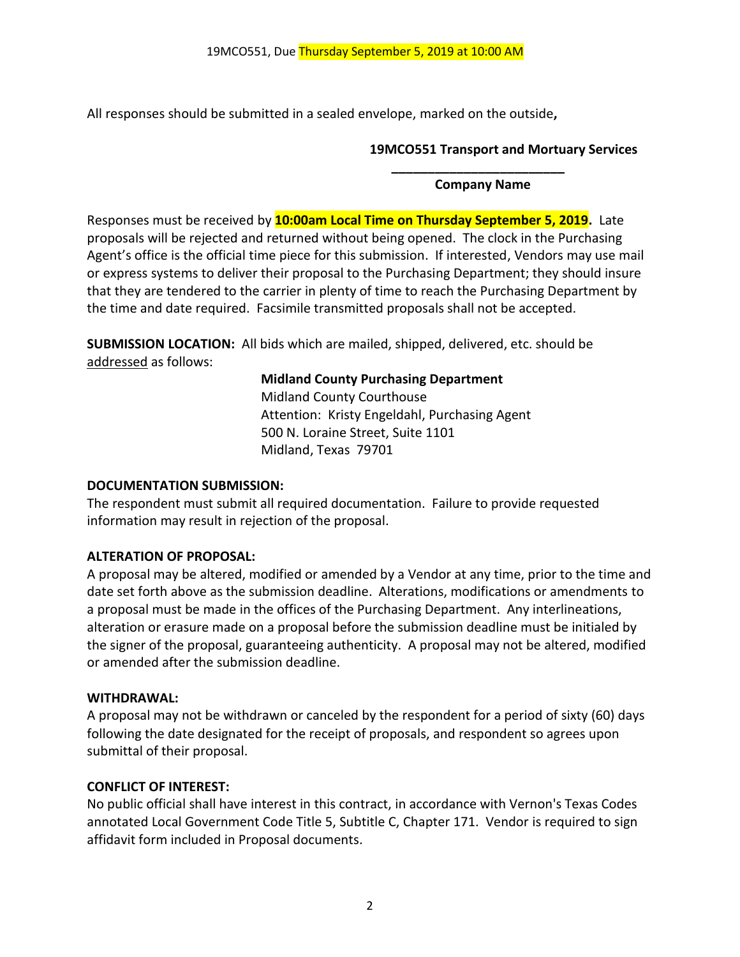All responses should be submitted in a sealed envelope, marked on the outside**,** 

### **19MCO551 Transport and Mortuary Services**

#### **\_\_\_\_\_\_\_\_\_\_\_\_\_\_\_\_\_\_\_\_\_\_\_\_ Company Name**

Responses must be received by **10:00am Local Time on Thursday September 5, 2019.** Late proposals will be rejected and returned without being opened. The clock in the Purchasing Agent's office is the official time piece for this submission. If interested, Vendors may use mail or express systems to deliver their proposal to the Purchasing Department; they should insure that they are tendered to the carrier in plenty of time to reach the Purchasing Department by the time and date required. Facsimile transmitted proposals shall not be accepted.

**SUBMISSION LOCATION:** All bids which are mailed, shipped, delivered, etc. should be addressed as follows:

#### **Midland County Purchasing Department**

Midland County Courthouse Attention: Kristy Engeldahl, Purchasing Agent 500 N. Loraine Street, Suite 1101 Midland, Texas 79701

### **DOCUMENTATION SUBMISSION:**

The respondent must submit all required documentation. Failure to provide requested information may result in rejection of the proposal.

## **ALTERATION OF PROPOSAL:**

A proposal may be altered, modified or amended by a Vendor at any time, prior to the time and date set forth above as the submission deadline. Alterations, modifications or amendments to a proposal must be made in the offices of the Purchasing Department. Any interlineations, alteration or erasure made on a proposal before the submission deadline must be initialed by the signer of the proposal, guaranteeing authenticity. A proposal may not be altered, modified or amended after the submission deadline.

## **WITHDRAWAL:**

A proposal may not be withdrawn or canceled by the respondent for a period of sixty (60) days following the date designated for the receipt of proposals, and respondent so agrees upon submittal of their proposal.

## **CONFLICT OF INTEREST:**

No public official shall have interest in this contract, in accordance with Vernon's Texas Codes annotated Local Government Code Title 5, Subtitle C, Chapter 171. Vendor is required to sign affidavit form included in Proposal documents.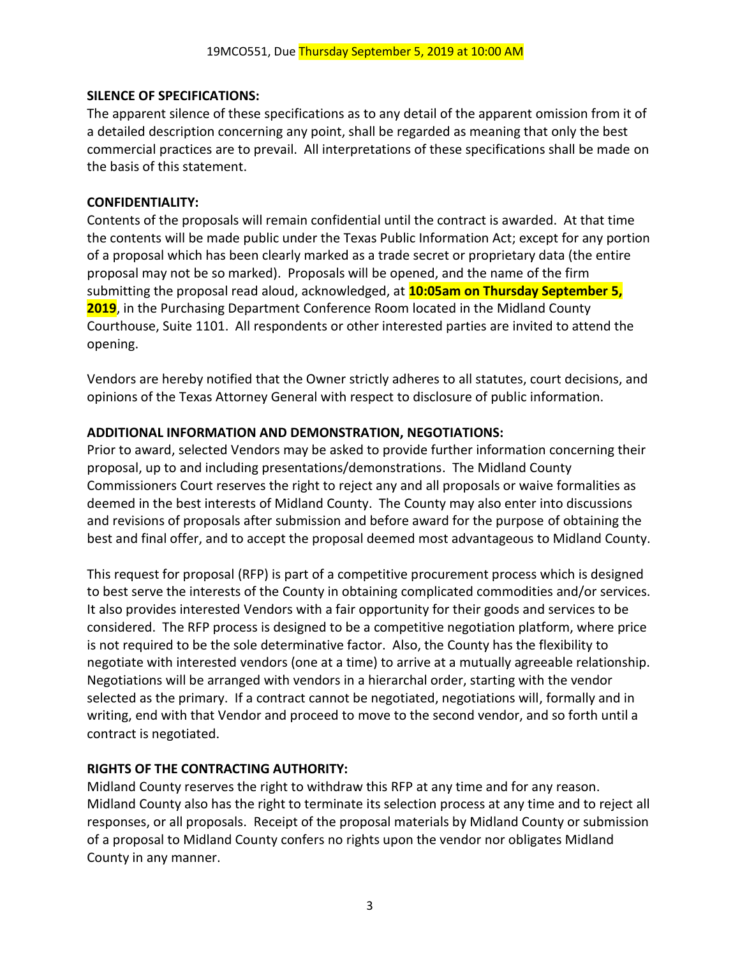## **SILENCE OF SPECIFICATIONS:**

The apparent silence of these specifications as to any detail of the apparent omission from it of a detailed description concerning any point, shall be regarded as meaning that only the best commercial practices are to prevail. All interpretations of these specifications shall be made on the basis of this statement.

## **CONFIDENTIALITY:**

Contents of the proposals will remain confidential until the contract is awarded. At that time the contents will be made public under the Texas Public Information Act; except for any portion of a proposal which has been clearly marked as a trade secret or proprietary data (the entire proposal may not be so marked). Proposals will be opened, and the name of the firm submitting the proposal read aloud, acknowledged, at **10:05am on Thursday September 5, 2019**, in the Purchasing Department Conference Room located in the Midland County Courthouse, Suite 1101. All respondents or other interested parties are invited to attend the opening.

Vendors are hereby notified that the Owner strictly adheres to all statutes, court decisions, and opinions of the Texas Attorney General with respect to disclosure of public information.

## **ADDITIONAL INFORMATION AND DEMONSTRATION, NEGOTIATIONS:**

Prior to award, selected Vendors may be asked to provide further information concerning their proposal, up to and including presentations/demonstrations. The Midland County Commissioners Court reserves the right to reject any and all proposals or waive formalities as deemed in the best interests of Midland County. The County may also enter into discussions and revisions of proposals after submission and before award for the purpose of obtaining the best and final offer, and to accept the proposal deemed most advantageous to Midland County.

This request for proposal (RFP) is part of a competitive procurement process which is designed to best serve the interests of the County in obtaining complicated commodities and/or services. It also provides interested Vendors with a fair opportunity for their goods and services to be considered. The RFP process is designed to be a competitive negotiation platform, where price is not required to be the sole determinative factor. Also, the County has the flexibility to negotiate with interested vendors (one at a time) to arrive at a mutually agreeable relationship. Negotiations will be arranged with vendors in a hierarchal order, starting with the vendor selected as the primary. If a contract cannot be negotiated, negotiations will, formally and in writing, end with that Vendor and proceed to move to the second vendor, and so forth until a contract is negotiated.

# **RIGHTS OF THE CONTRACTING AUTHORITY:**

Midland County reserves the right to withdraw this RFP at any time and for any reason. Midland County also has the right to terminate its selection process at any time and to reject all responses, or all proposals. Receipt of the proposal materials by Midland County or submission of a proposal to Midland County confers no rights upon the vendor nor obligates Midland County in any manner.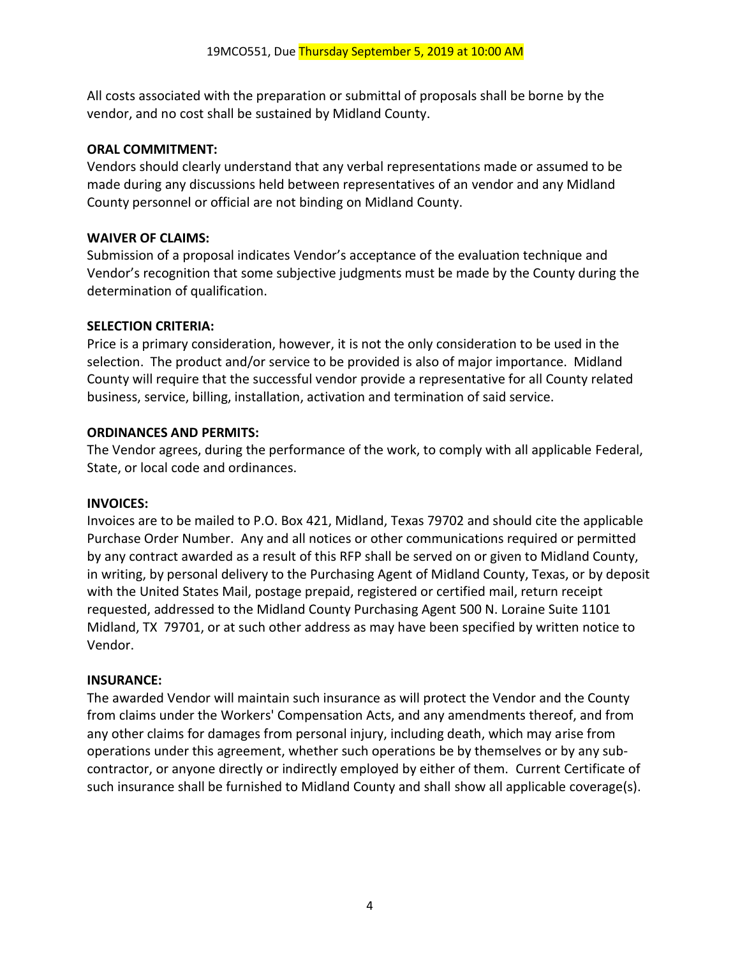All costs associated with the preparation or submittal of proposals shall be borne by the vendor, and no cost shall be sustained by Midland County.

### **ORAL COMMITMENT:**

Vendors should clearly understand that any verbal representations made or assumed to be made during any discussions held between representatives of an vendor and any Midland County personnel or official are not binding on Midland County.

### **WAIVER OF CLAIMS:**

Submission of a proposal indicates Vendor's acceptance of the evaluation technique and Vendor's recognition that some subjective judgments must be made by the County during the determination of qualification.

### **SELECTION CRITERIA:**

Price is a primary consideration, however, it is not the only consideration to be used in the selection. The product and/or service to be provided is also of major importance. Midland County will require that the successful vendor provide a representative for all County related business, service, billing, installation, activation and termination of said service.

### **ORDINANCES AND PERMITS:**

The Vendor agrees, during the performance of the work, to comply with all applicable Federal, State, or local code and ordinances.

#### **INVOICES:**

Invoices are to be mailed to P.O. Box 421, Midland, Texas 79702 and should cite the applicable Purchase Order Number. Any and all notices or other communications required or permitted by any contract awarded as a result of this RFP shall be served on or given to Midland County, in writing, by personal delivery to the Purchasing Agent of Midland County, Texas, or by deposit with the United States Mail, postage prepaid, registered or certified mail, return receipt requested, addressed to the Midland County Purchasing Agent 500 N. Loraine Suite 1101 Midland, TX 79701, or at such other address as may have been specified by written notice to Vendor.

#### **INSURANCE:**

The awarded Vendor will maintain such insurance as will protect the Vendor and the County from claims under the Workers' Compensation Acts, and any amendments thereof, and from any other claims for damages from personal injury, including death, which may arise from operations under this agreement, whether such operations be by themselves or by any subcontractor, or anyone directly or indirectly employed by either of them. Current Certificate of such insurance shall be furnished to Midland County and shall show all applicable coverage(s).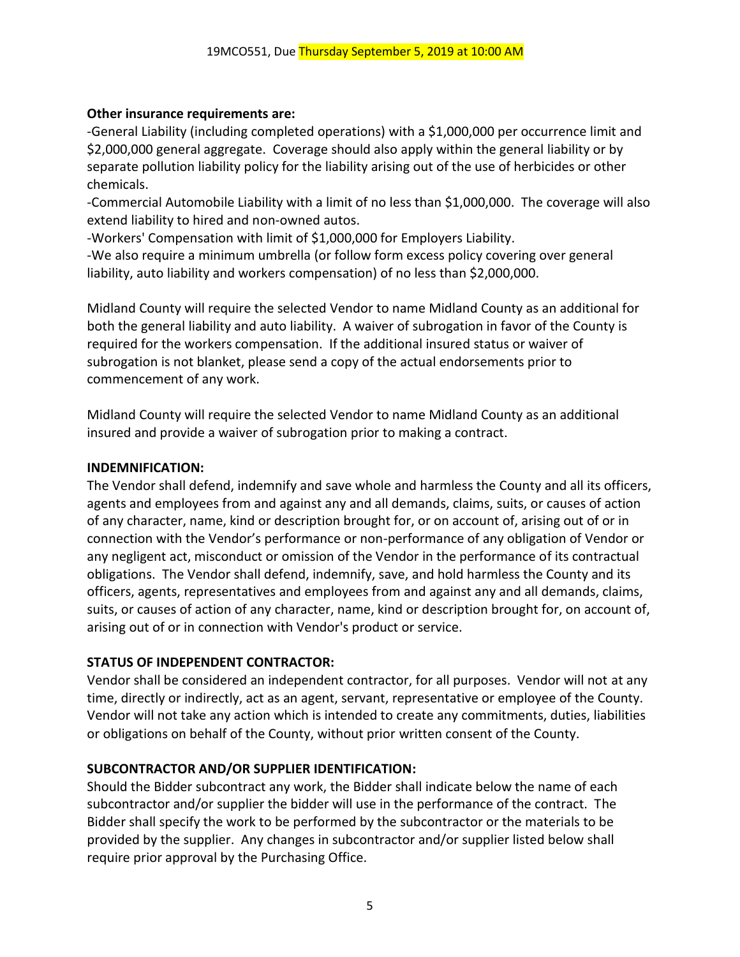## **Other insurance requirements are:**

-General Liability (including completed operations) with a \$1,000,000 per occurrence limit and \$2,000,000 general aggregate. Coverage should also apply within the general liability or by separate pollution liability policy for the liability arising out of the use of herbicides or other chemicals.

-Commercial Automobile Liability with a limit of no less than \$1,000,000. The coverage will also extend liability to hired and non-owned autos.

-Workers' Compensation with limit of \$1,000,000 for Employers Liability.

-We also require a minimum umbrella (or follow form excess policy covering over general liability, auto liability and workers compensation) of no less than \$2,000,000.

Midland County will require the selected Vendor to name Midland County as an additional for both the general liability and auto liability. A waiver of subrogation in favor of the County is required for the workers compensation. If the additional insured status or waiver of subrogation is not blanket, please send a copy of the actual endorsements prior to commencement of any work.

Midland County will require the selected Vendor to name Midland County as an additional insured and provide a waiver of subrogation prior to making a contract.

### **INDEMNIFICATION:**

The Vendor shall defend, indemnify and save whole and harmless the County and all its officers, agents and employees from and against any and all demands, claims, suits, or causes of action of any character, name, kind or description brought for, or on account of, arising out of or in connection with the Vendor's performance or non-performance of any obligation of Vendor or any negligent act, misconduct or omission of the Vendor in the performance of its contractual obligations. The Vendor shall defend, indemnify, save, and hold harmless the County and its officers, agents, representatives and employees from and against any and all demands, claims, suits, or causes of action of any character, name, kind or description brought for, on account of, arising out of or in connection with Vendor's product or service.

## **STATUS OF INDEPENDENT CONTRACTOR:**

Vendor shall be considered an independent contractor, for all purposes. Vendor will not at any time, directly or indirectly, act as an agent, servant, representative or employee of the County. Vendor will not take any action which is intended to create any commitments, duties, liabilities or obligations on behalf of the County, without prior written consent of the County.

## **SUBCONTRACTOR AND/OR SUPPLIER IDENTIFICATION:**

Should the Bidder subcontract any work, the Bidder shall indicate below the name of each subcontractor and/or supplier the bidder will use in the performance of the contract. The Bidder shall specify the work to be performed by the subcontractor or the materials to be provided by the supplier. Any changes in subcontractor and/or supplier listed below shall require prior approval by the Purchasing Office.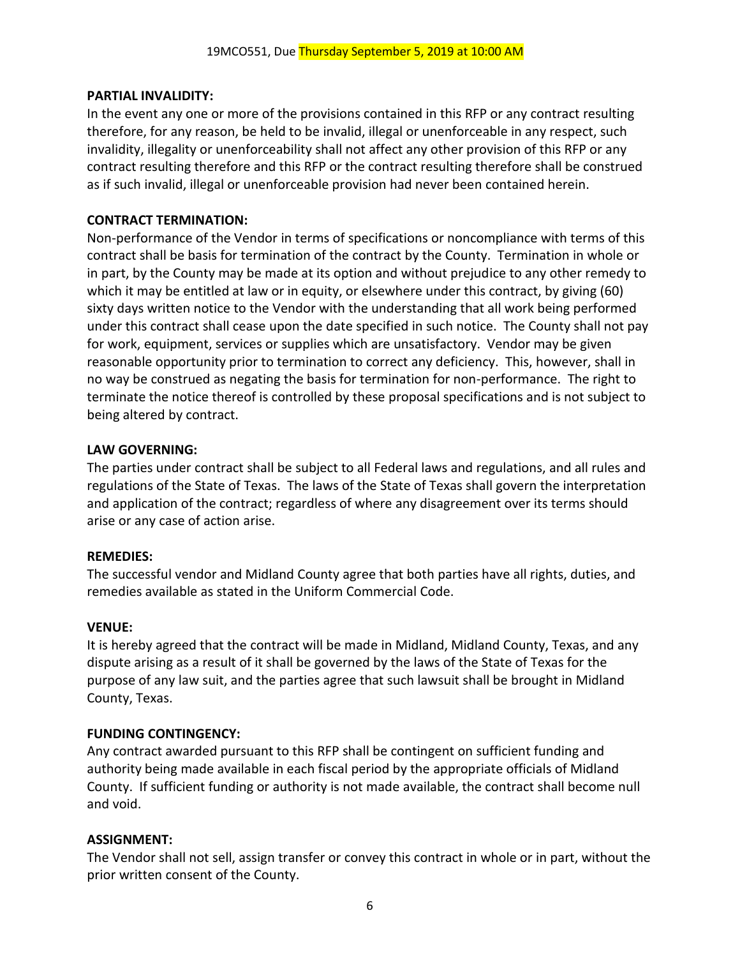### **PARTIAL INVALIDITY:**

In the event any one or more of the provisions contained in this RFP or any contract resulting therefore, for any reason, be held to be invalid, illegal or unenforceable in any respect, such invalidity, illegality or unenforceability shall not affect any other provision of this RFP or any contract resulting therefore and this RFP or the contract resulting therefore shall be construed as if such invalid, illegal or unenforceable provision had never been contained herein.

## **CONTRACT TERMINATION:**

Non-performance of the Vendor in terms of specifications or noncompliance with terms of this contract shall be basis for termination of the contract by the County. Termination in whole or in part, by the County may be made at its option and without prejudice to any other remedy to which it may be entitled at law or in equity, or elsewhere under this contract, by giving (60) sixty days written notice to the Vendor with the understanding that all work being performed under this contract shall cease upon the date specified in such notice. The County shall not pay for work, equipment, services or supplies which are unsatisfactory. Vendor may be given reasonable opportunity prior to termination to correct any deficiency. This, however, shall in no way be construed as negating the basis for termination for non-performance. The right to terminate the notice thereof is controlled by these proposal specifications and is not subject to being altered by contract.

### **LAW GOVERNING:**

The parties under contract shall be subject to all Federal laws and regulations, and all rules and regulations of the State of Texas. The laws of the State of Texas shall govern the interpretation and application of the contract; regardless of where any disagreement over its terms should arise or any case of action arise.

#### **REMEDIES:**

The successful vendor and Midland County agree that both parties have all rights, duties, and remedies available as stated in the Uniform Commercial Code.

## **VENUE:**

It is hereby agreed that the contract will be made in Midland, Midland County, Texas, and any dispute arising as a result of it shall be governed by the laws of the State of Texas for the purpose of any law suit, and the parties agree that such lawsuit shall be brought in Midland County, Texas.

## **FUNDING CONTINGENCY:**

Any contract awarded pursuant to this RFP shall be contingent on sufficient funding and authority being made available in each fiscal period by the appropriate officials of Midland County. If sufficient funding or authority is not made available, the contract shall become null and void.

## **ASSIGNMENT:**

The Vendor shall not sell, assign transfer or convey this contract in whole or in part, without the prior written consent of the County.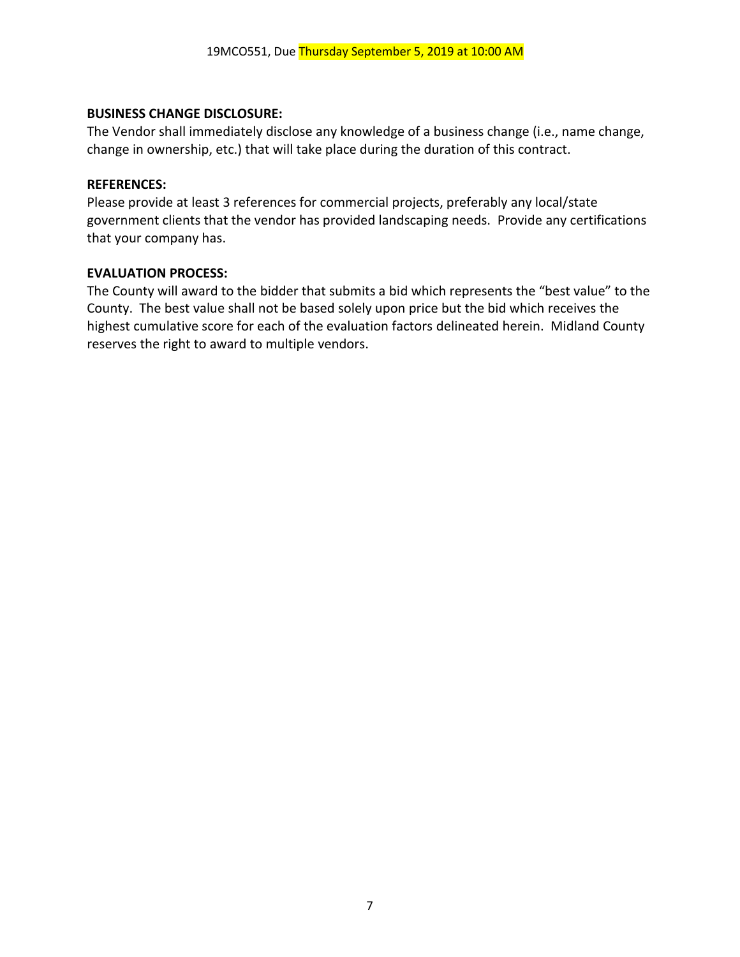### **BUSINESS CHANGE DISCLOSURE:**

The Vendor shall immediately disclose any knowledge of a business change (i.e., name change, change in ownership, etc.) that will take place during the duration of this contract.

### **REFERENCES:**

Please provide at least 3 references for commercial projects, preferably any local/state government clients that the vendor has provided landscaping needs. Provide any certifications that your company has.

### **EVALUATION PROCESS:**

The County will award to the bidder that submits a bid which represents the "best value" to the County. The best value shall not be based solely upon price but the bid which receives the highest cumulative score for each of the evaluation factors delineated herein. Midland County reserves the right to award to multiple vendors.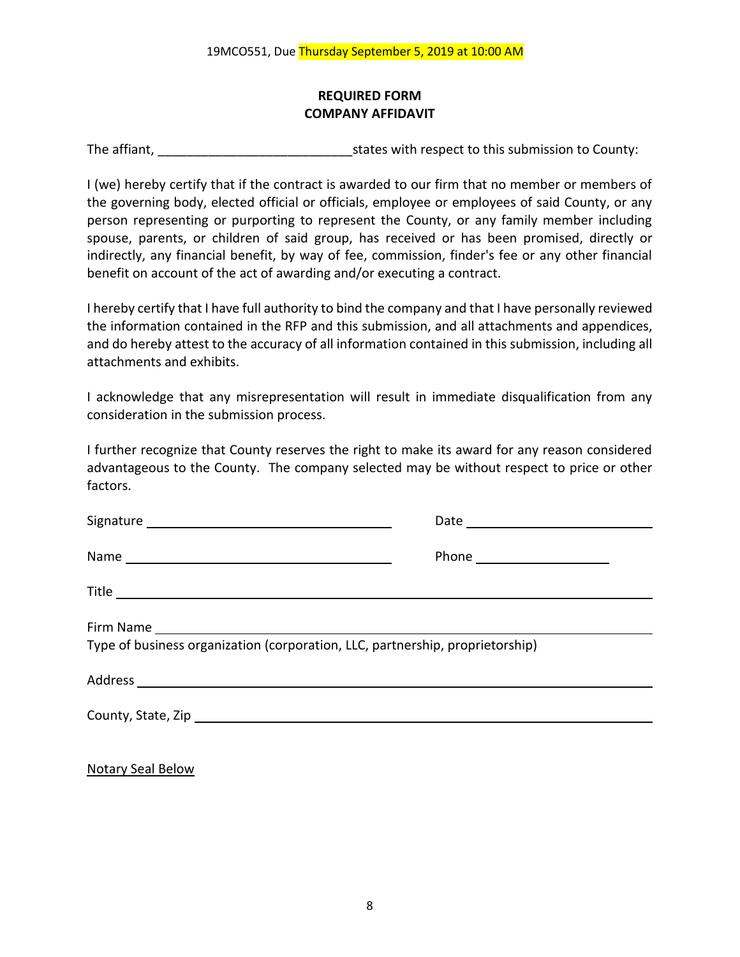## **REQUIRED FORM COMPANY AFFIDAVIT**

The affiant, The affiant, The affiant,  $\frac{1}{2}$  states with respect to this submission to County:

I (we) hereby certify that if the contract is awarded to our firm that no member or members of the governing body, elected official or officials, employee or employees of said County, or any person representing or purporting to represent the County, or any family member including spouse, parents, or children of said group, has received or has been promised, directly or indirectly, any financial benefit, by way of fee, commission, finder's fee or any other financial benefit on account of the act of awarding and/or executing a contract.

I hereby certify that I have full authority to bind the company and that I have personally reviewed the information contained in the RFP and this submission, and all attachments and appendices, and do hereby attest to the accuracy of all information contained in this submission, including all attachments and exhibits.

I acknowledge that any misrepresentation will result in immediate disqualification from any consideration in the submission process.

I further recognize that County reserves the right to make its award for any reason considered advantageous to the County. The company selected may be without respect to price or other factors.

Notary Seal Below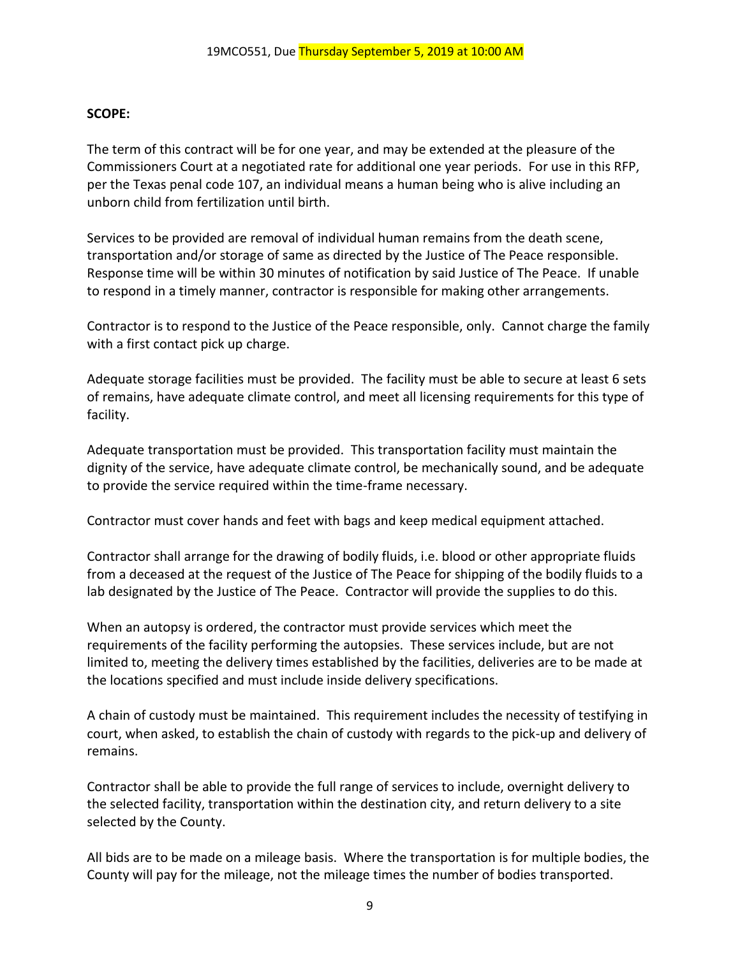#### **SCOPE:**

The term of this contract will be for one year, and may be extended at the pleasure of the Commissioners Court at a negotiated rate for additional one year periods. For use in this RFP, per the Texas penal code 107, an individual means a human being who is alive including an unborn child from fertilization until birth.

Services to be provided are removal of individual human remains from the death scene, transportation and/or storage of same as directed by the Justice of The Peace responsible. Response time will be within 30 minutes of notification by said Justice of The Peace. If unable to respond in a timely manner, contractor is responsible for making other arrangements.

Contractor is to respond to the Justice of the Peace responsible, only. Cannot charge the family with a first contact pick up charge.

Adequate storage facilities must be provided. The facility must be able to secure at least 6 sets of remains, have adequate climate control, and meet all licensing requirements for this type of facility.

Adequate transportation must be provided. This transportation facility must maintain the dignity of the service, have adequate climate control, be mechanically sound, and be adequate to provide the service required within the time-frame necessary.

Contractor must cover hands and feet with bags and keep medical equipment attached.

Contractor shall arrange for the drawing of bodily fluids, i.e. blood or other appropriate fluids from a deceased at the request of the Justice of The Peace for shipping of the bodily fluids to a lab designated by the Justice of The Peace. Contractor will provide the supplies to do this.

When an autopsy is ordered, the contractor must provide services which meet the requirements of the facility performing the autopsies. These services include, but are not limited to, meeting the delivery times established by the facilities, deliveries are to be made at the locations specified and must include inside delivery specifications.

A chain of custody must be maintained. This requirement includes the necessity of testifying in court, when asked, to establish the chain of custody with regards to the pick-up and delivery of remains.

Contractor shall be able to provide the full range of services to include, overnight delivery to the selected facility, transportation within the destination city, and return delivery to a site selected by the County.

All bids are to be made on a mileage basis. Where the transportation is for multiple bodies, the County will pay for the mileage, not the mileage times the number of bodies transported.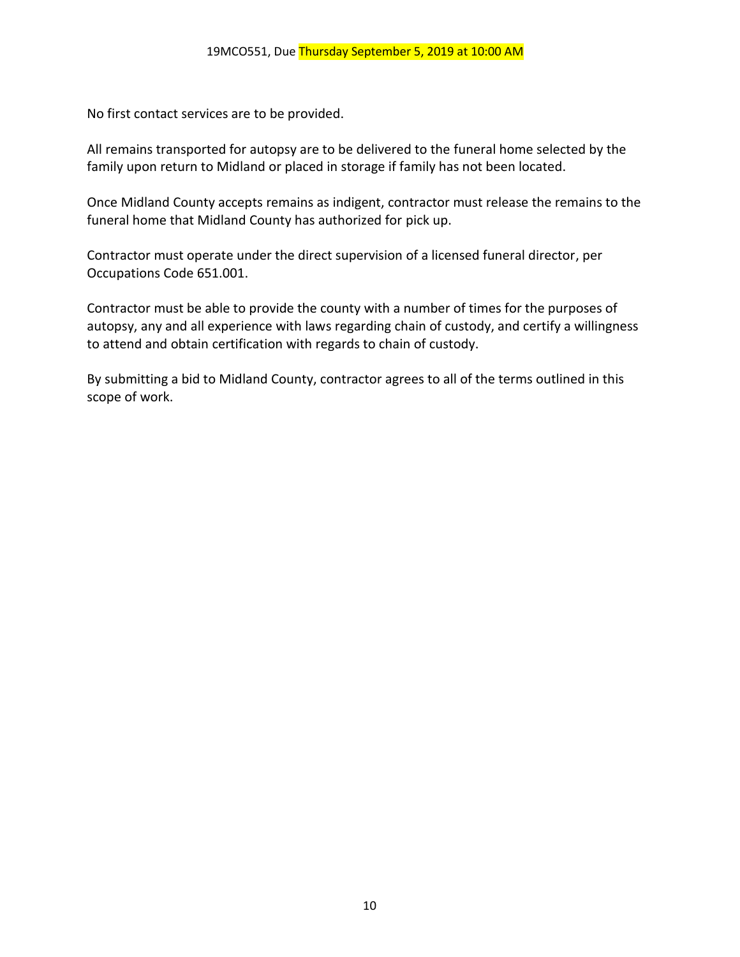No first contact services are to be provided.

All remains transported for autopsy are to be delivered to the funeral home selected by the family upon return to Midland or placed in storage if family has not been located.

Once Midland County accepts remains as indigent, contractor must release the remains to the funeral home that Midland County has authorized for pick up.

Contractor must operate under the direct supervision of a licensed funeral director, per Occupations Code 651.001.

Contractor must be able to provide the county with a number of times for the purposes of autopsy, any and all experience with laws regarding chain of custody, and certify a willingness to attend and obtain certification with regards to chain of custody.

By submitting a bid to Midland County, contractor agrees to all of the terms outlined in this scope of work.